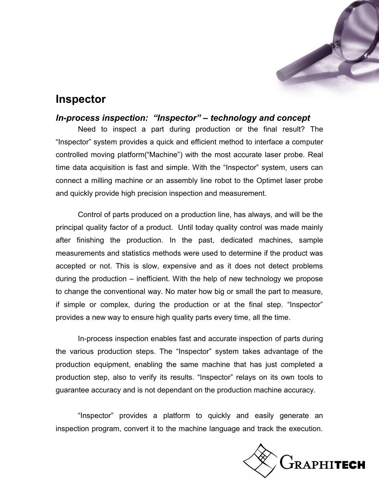

# **Inspector**

### *In-process inspection: "Inspector" – technology and concept*

Need to inspect a part during production or the final result? The "Inspector" system provides a quick and efficient method to interface a computer controlled moving platform("Machine") with the most accurate laser probe. Real time data acquisition is fast and simple. With the "Inspector" system, users can connect a milling machine or an assembly line robot to the Optimet laser probe and quickly provide high precision inspection and measurement.

Control of parts produced on a production line, has always, and will be the principal quality factor of a product. Until today quality control was made mainly after finishing the production. In the past, dedicated machines, sample measurements and statistics methods were used to determine if the product was accepted or not. This is slow, expensive and as it does not detect problems during the production – inefficient. With the help of new technology we propose to change the conventional way. No mater how big or small the part to measure, if simple or complex, during the production or at the final step. "Inspector" provides a new way to ensure high quality parts every time, all the time.

In-process inspection enables fast and accurate inspection of parts during the various production steps. The "Inspector" system takes advantage of the production equipment, enabling the same machine that has just completed a production step, also to verify its results. "Inspector" relays on its own tools to guarantee accuracy and is not dependant on the production machine accuracy.

"Inspector" provides a platform to quickly and easily generate an inspection program, convert it to the machine language and track the execution.

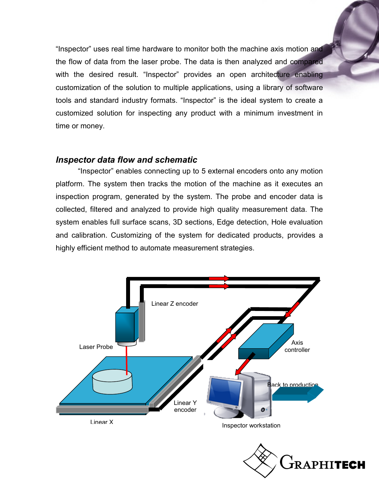"Inspector" uses real time hardware to monitor both the machine axis motion and the flow of data from the laser probe. The data is then analyzed and compared with the desired result. "Inspector" provides an open architecture enabling customization of the solution to multiple applications, using a library of software tools and standard industry formats. "Inspector" is the ideal system to create a customized solution for inspecting any product with a minimum investment in time or money.

### *Inspector data flow and schematic*

"Inspector" enables connecting up to 5 external encoders onto any motion platform. The system then tracks the motion of the machine as it executes an inspection program, generated by the system. The probe and encoder data is collected, filtered and analyzed to provide high quality measurement data. The system enables full surface scans, 3D sections, Edge detection, Hole evaluation and calibration. Customizing of the system for dedicated products, provides a highly efficient method to automate measurement strategies.



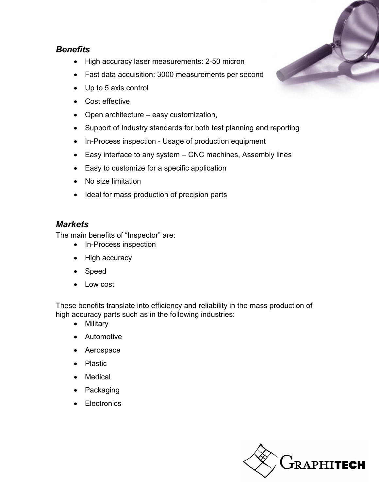## *Benefits*

- High accuracy laser measurements: 2-50 micron
- Fast data acquisition: 3000 measurements per second
- Up to 5 axis control
- Cost effective
- Open architecture easy customization,
- Support of Industry standards for both test planning and reporting
- In-Process inspection Usage of production equipment
- Easy interface to any system CNC machines, Assembly lines
- Easy to customize for a specific application
- No size limitation
- Ideal for mass production of precision parts

## *Markets*

The main benefits of "Inspector" are:

- In-Process inspection
- High accuracy
- Speed
- Low cost

These benefits translate into efficiency and reliability in the mass production of high accuracy parts such as in the following industries:

- Military
- Automotive
- Aerospace
- Plastic
- Medical
- Packaging
- **Electronics**



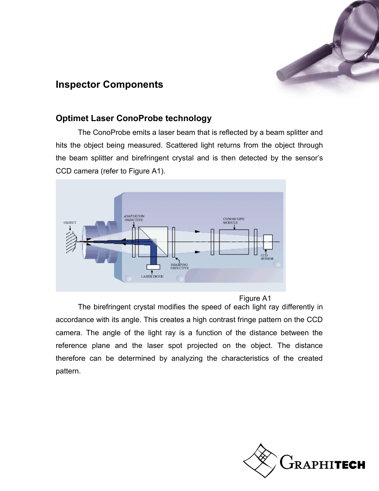

## **Inspector Components**

## **Optimet Laser ConoProbe technology**

The ConoProbe emits a laser beam that is reflected by a beam splitter and hits the object being measured. Scattered light returns from the object through the beam splitter and birefringent crystal and is then detected by the sensor's CCD camera (refer to Figure A1).



#### Figure A1

The birefringent crystal modifies the speed of each light ray differently in accordance with its angle. This creates a high contrast fringe pattern on the CCD camera. The angle of the light ray is a function of the distance between the reference plane and the laser spot projected on the object. The distance therefore can be determined by analyzing the characteristics of the created pattern.

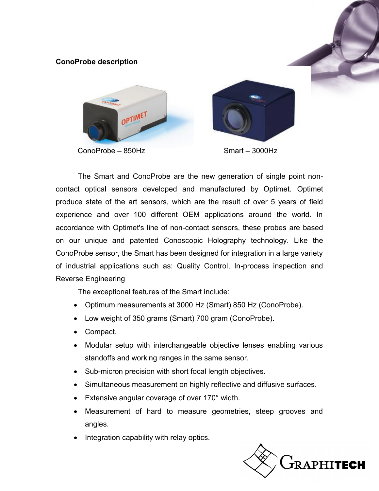#### **ConoProbe description**



ConoProbe – 850Hz



The Smart and ConoProbe are the new generation of single point noncontact optical sensors developed and manufactured by Optimet. Optimet produce state of the art sensors, which are the result of over 5 years of field experience and over 100 different OEM applications around the world. In accordance with Optimet's line of non-contact sensors, these probes are based on our unique and patented Conoscopic Holography technology. Like the ConoProbe sensor, the Smart has been designed for integration in a large variety of industrial applications such as: Quality Control, In-process inspection and Reverse Engineering

The exceptional features of the Smart include:

- Optimum measurements at 3000 Hz (Smart) 850 Hz (ConoProbe).
- Low weight of 350 grams (Smart) 700 gram (ConoProbe).
- Compact.
- Modular setup with interchangeable objective lenses enabling various standoffs and working ranges in the same sensor.
- Sub-micron precision with short focal length objectives.
- Simultaneous measurement on highly reflective and diffusive surfaces.
- Extensive angular coverage of over 170° width.
- Measurement of hard to measure geometries, steep grooves and angles.
- Integration capability with relay optics.

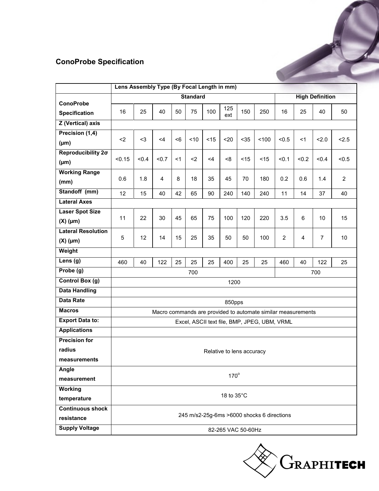## **ConoProbe Specification**

| <b>ConoProbe Specification</b>           |                                              |                                                              |                |     |     |       |            |      |      |                        |       |       |                |
|------------------------------------------|----------------------------------------------|--------------------------------------------------------------|----------------|-----|-----|-------|------------|------|------|------------------------|-------|-------|----------------|
|                                          |                                              |                                                              |                |     |     |       |            |      |      |                        |       |       |                |
|                                          |                                              | Lens Assembly Type (By Focal Length in mm)                   |                |     |     |       |            |      |      |                        |       |       |                |
|                                          | <b>Standard</b>                              |                                                              |                |     |     |       |            |      |      | <b>High Definition</b> |       |       |                |
| <b>ConoProbe</b><br><b>Specification</b> | 16                                           | 25                                                           | 40             | 50  | 75  | 100   | 125<br>ext | 150  | 250  | 16                     | 25    | 40    | 50             |
| <b>Z</b> (Vertical) axis                 |                                              |                                                              |                |     |     |       |            |      |      |                        |       |       |                |
| Precision (1,4)                          |                                              |                                                              |                |     |     |       |            |      |      |                        |       |       |                |
| $(\mu m)$                                | $2$                                          | $3$                                                          | <4             | < 6 | ~10 | < 15  | $20$       | $35$ | 100  | < 0.5                  | <1    | 2.0   | 2.5            |
| Reproducibility 20                       |                                              |                                                              |                | <1  |     |       |            |      |      |                        |       |       |                |
| $(\mu m)$                                | < 0.15                                       | < 0.4                                                        | $0.7$          |     | $2$ | $<$ 4 | <8         | < 15 | < 15 | < 0.1                  | < 0.2 | < 0.4 | < 0.5          |
| <b>Working Range</b>                     |                                              |                                                              |                |     |     |       |            |      |      |                        |       |       |                |
| (mm)                                     | 0.6                                          | 1.8                                                          | $\overline{4}$ | 8   | 18  | 35    | 45         | 70   | 180  | 0.2                    | 0.6   | 1.4   | $\overline{2}$ |
| Standoff (mm)                            | 12                                           | 15                                                           | 40             | 42  | 65  | 90    | 240        | 140  | 240  | 11                     | 14    | 37    | 40             |
| <b>Lateral Axes</b>                      |                                              |                                                              |                |     |     |       |            |      |      |                        |       |       |                |
| <b>Laser Spot Size</b>                   | 11                                           | 22                                                           | 30             | 45  | 65  | 75    | 100        | 120  | 220  |                        | 6     | 10    | 15             |
| $(X)$ (µm)                               |                                              |                                                              |                |     |     |       |            |      |      | 3.5                    |       |       |                |
| <b>Lateral Resolution</b>                | 5                                            | 12                                                           | 14             | 15  | 25  | 35    | 50         | 50   | 100  | $\overline{2}$         | 4     | 7     | 10             |
| $(X)$ (µm)                               |                                              |                                                              |                |     |     |       |            |      |      |                        |       |       |                |
| Weight                                   |                                              |                                                              |                |     |     |       |            |      |      |                        |       |       |                |
| Lens (g)                                 | 460                                          | 40                                                           | 122            | 25  | 25  | 25    | 400        | 25   | 25   | 460                    | 40    | 122   | 25             |
| Probe (g)                                |                                              |                                                              |                |     | 700 |       |            |      |      |                        |       | 700   |                |
| Control Box (g)                          |                                              |                                                              |                |     |     |       | 1200       |      |      |                        |       |       |                |
| <b>Data Handling</b>                     |                                              |                                                              |                |     |     |       |            |      |      |                        |       |       |                |
| <b>Data Rate</b>                         | 850pps                                       |                                                              |                |     |     |       |            |      |      |                        |       |       |                |
| <b>Macros</b>                            |                                              | Macro commands are provided to automate similar measurements |                |     |     |       |            |      |      |                        |       |       |                |
| <b>Export Data to:</b>                   | Excel, ASCII text file, BMP, JPEG, UBM, VRML |                                                              |                |     |     |       |            |      |      |                        |       |       |                |
| <b>Applications</b>                      |                                              |                                                              |                |     |     |       |            |      |      |                        |       |       |                |
| <b>Precision for</b>                     |                                              |                                                              |                |     |     |       |            |      |      |                        |       |       |                |
| radius                                   | Relative to lens accuracy                    |                                                              |                |     |     |       |            |      |      |                        |       |       |                |
| measurements                             |                                              |                                                              |                |     |     |       |            |      |      |                        |       |       |                |
| Angle                                    |                                              | $170^\circ$                                                  |                |     |     |       |            |      |      |                        |       |       |                |
| measurement                              |                                              |                                                              |                |     |     |       |            |      |      |                        |       |       |                |
| Working                                  |                                              |                                                              |                |     |     |       |            |      |      |                        |       |       |                |
| temperature                              | 18 to 35°C                                   |                                                              |                |     |     |       |            |      |      |                        |       |       |                |
| <b>Continuous shock</b>                  | 245 m/s2-25g-6ms >6000 shocks 6 directions   |                                                              |                |     |     |       |            |      |      |                        |       |       |                |
| resistance                               |                                              |                                                              |                |     |     |       |            |      |      |                        |       |       |                |
| <b>Supply Voltage</b>                    | 82-265 VAC 50-60Hz                           |                                                              |                |     |     |       |            |      |      |                        |       |       |                |

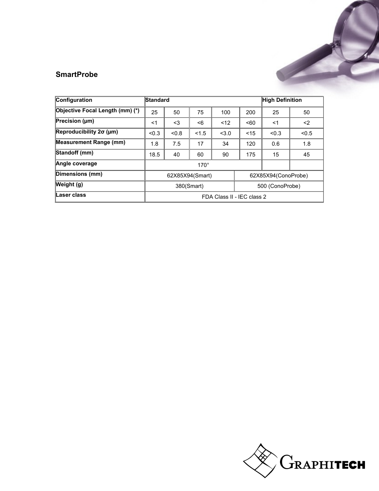### **SmartProbe**

| Configuration                   | Standard                   |       |                 |       |                     | <b>High Definition</b> |       |  |
|---------------------------------|----------------------------|-------|-----------------|-------|---------------------|------------------------|-------|--|
| Objective Focal Length (mm) (*) | 25                         | 50    | 75              | 100   | 200                 | 25                     | 50    |  |
| Precision $(\mu m)$             | $<$ 1                      | $3$   | < 6             | < 12  | < 60                | <1                     | $2$   |  |
| Reproducibility $2\sigma$ (µm)  | < 0.3                      | < 0.8 | < 1.5           | < 3.0 | $<$ 15              | < 0.3                  | < 0.5 |  |
| <b>Measurement Range (mm)</b>   | 1.8                        | 7.5   | 17              | 34    | 120                 | 0.6                    | 1.8   |  |
| Standoff (mm)                   | 18.5                       | 40    | 60              | 90    | 175                 | 15                     | 45    |  |
| Angle coverage                  | $170^\circ$                |       |                 |       |                     |                        |       |  |
| Dimensions (mm)                 |                            |       | 62X85X94(Smart) |       | 62X85X94(ConoProbe) |                        |       |  |
| Weight (g)                      |                            |       | 380(Smart)      |       | 500 (ConoProbe)     |                        |       |  |
| Laser class                     | FDA Class II - IEC class 2 |       |                 |       |                     |                        |       |  |

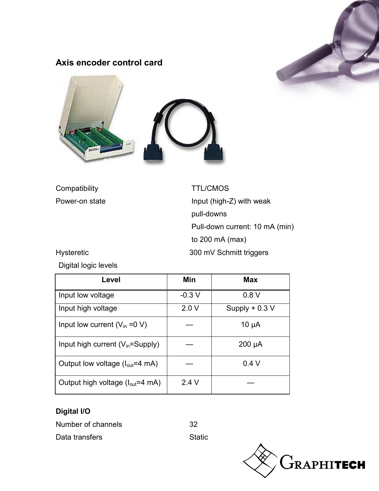

## **Axis encoder control card**



Compatibility **TTL/CMOS** 

Power-on state **Input (high-Z)** with weak pull-downs Pull-down current: 10 mA (min) to 200 mA (max) Hysteretic 300 mV Schmitt triggers

Digital logic levels

| Level                                         | Min     | <b>Max</b>       |
|-----------------------------------------------|---------|------------------|
| Input low voltage                             | $-0.3V$ | 0.8V             |
| Input high voltage                            | 2.0V    | Supply $+ 0.3 V$ |
| Input low current $(V_{in} = 0 V)$            |         | $10 \mu A$       |
| Input high current $(V_{in} = \text{Supply})$ |         | $200 \mu A$      |
| Output low voltage $(l_{out}=4 \text{ mA})$   |         | 0.4V             |
| Output high voltage $(I_{out}=4 \text{ mA})$  | 2.4V    |                  |

## **Digital I/O**

Number of channels 32



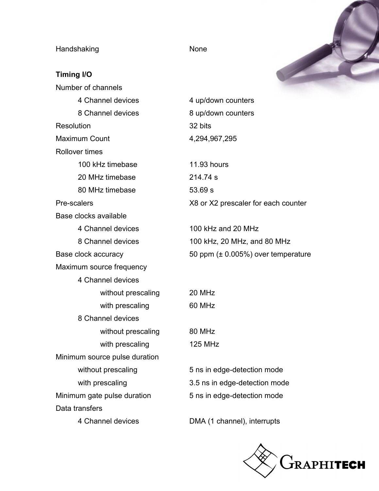Handshaking **None** None

**Timing I/O**



| Number of channels            |                        |  |  |  |
|-------------------------------|------------------------|--|--|--|
| 4 Channel devices             | 4 up/down counters     |  |  |  |
| 8 Channel devices             | 8 up/down counters     |  |  |  |
| Resolution                    | 32 bits                |  |  |  |
| <b>Maximum Count</b>          | 4,294,967,295          |  |  |  |
| <b>Rollover times</b>         |                        |  |  |  |
| 100 kHz timebase              | 11.93 hours            |  |  |  |
| 20 MHz timebase               | 214.74 s               |  |  |  |
| 80 MHz timebase               | 53.69 s                |  |  |  |
| Pre-scalers                   | X8 or X2 prescaler fo  |  |  |  |
| Base clocks available         |                        |  |  |  |
| 4 Channel devices             | 100 kHz and 20 MH;     |  |  |  |
| 8 Channel devices             | 100 kHz, 20 MHz, ar    |  |  |  |
| Base clock accuracy           | 50 ppm $(\pm 0.005%)$  |  |  |  |
| Maximum source frequency      |                        |  |  |  |
| 4 Channel devices             |                        |  |  |  |
| without prescaling            | 20 MHz                 |  |  |  |
| with prescaling               | 60 MHz                 |  |  |  |
| 8 Channel devices             |                        |  |  |  |
| without prescaling            | 80 MHz                 |  |  |  |
| with prescaling               | <b>125 MHz</b>         |  |  |  |
| Minimum source pulse duration |                        |  |  |  |
| without prescaling            | 5 ns in edge-detection |  |  |  |
| with prescaling               | 3.5 ns in edge-detec   |  |  |  |
| Minimum gate pulse duration   | 5 ns in edge-detection |  |  |  |
| Data transfers                |                        |  |  |  |
| 4 Channel devices             | DMA (1 channel), int   |  |  |  |

hours X2 prescaler for each counter  $Hz$  and 20 MHz 1z, 20 MHz, and 80 MHz

 $m$  ( $\pm$  0.005%) over temperature

edge-detection mode in edge-detection mode edge-detection mode

(1 channel), interrupts